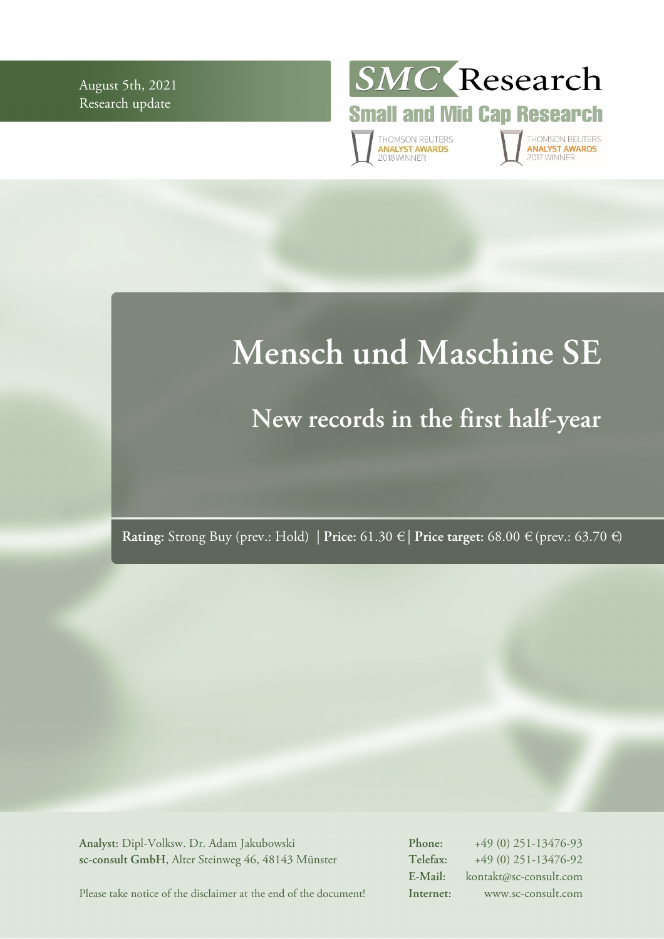August 5th, 2021 Research update



**Small and Mid Cap Research** 

THOMSON REUTERS<br>**ANALYST AWARDS**<br>2018 WINNER

THOMSON REUTERS<br>**ANALYST AWARDS**<br>2017 WINNER

# **Mensch und Maschine SE**

# **New records in the first half-year**

**Rating:** Strong Buy (prev.: Hold) | **Price:** 61.30 € | **Price target:** 68.00 € (prev.: 63.70 €)

**Analyst:** Dipl-Volksw. Dr. Adam Jakubowski **sc-consult GmbH**, Alter Steinweg 46, 48143 Münster **Phone:** +49 (0) 251-13476-93 **Telefax:** +49 (0) 251-13476-92 **E-Mail:** kontakt@sc-consult.com **Internet:** www.sc-consult.com

Please take notice of the disclaimer at the end of the document!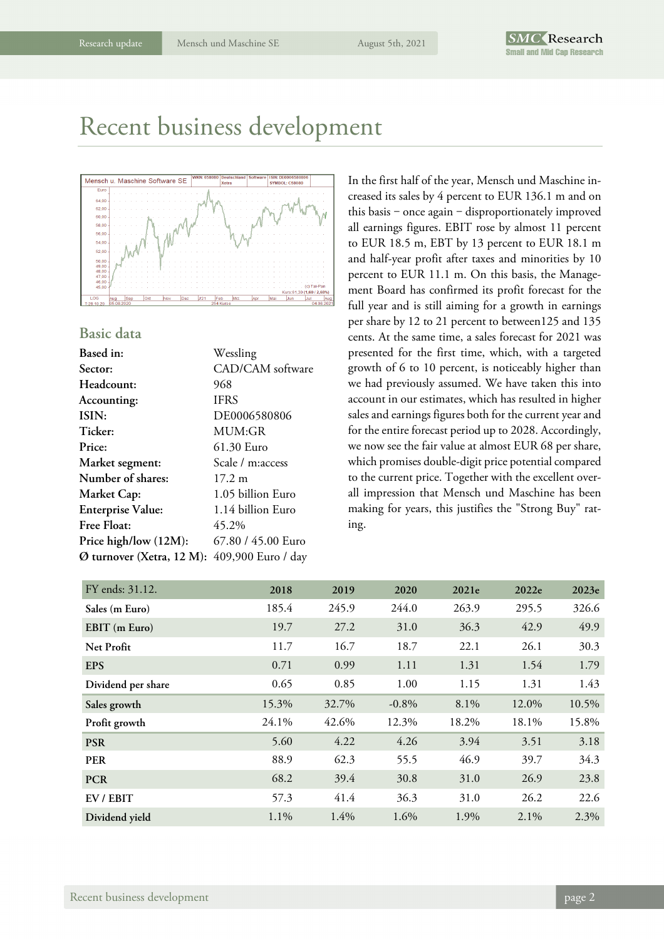### Recent business development



### **Basic data**

| Based in:                 | Wessling           |
|---------------------------|--------------------|
| Sector:                   | CAD/CAM software   |
| Headcount:                | 968                |
| Accounting:               | <b>IFRS</b>        |
| ISIN:                     | DE0006580806       |
| Ticker:                   | MUM:GR             |
| Price:                    | 61.30 Euro         |
| Market segment:           | Scale / m:access   |
| Number of shares:         | $17.2 \;{\rm m}$   |
| Market Cap:               | 1.05 billion Euro  |
| <b>Enterprise Value:</b>  | 1.14 billion Euro  |
| Free Float:               | 45.2%              |
| Price high/low (12M):     | 67.80 / 45.00 Euro |
| Ø turnover (Xetra, 12 M): | 409,900 Euro / day |

In the first half of the year, Mensch und Maschine increased its sales by 4 percent to EUR 136.1 m and on this basis - once again - disproportionately improved all earnings figures. EBIT rose by almost 11 percent to EUR 18.5 m, EBT by 13 percent to EUR 18.1 m and half-year profit after taxes and minorities by 10 percent to EUR 11.1 m. On this basis, the Management Board has confirmed its profit forecast for the full year and is still aiming for a growth in earnings per share by 12 to 21 percent to between125 and 135 cents. At the same time, a sales forecast for 2021 was presented for the first time, which, with a targeted growth of 6 to 10 percent, is noticeably higher than we had previously assumed. We have taken this into account in our estimates, which has resulted in higher sales and earnings figures both for the current year and for the entire forecast period up to 2028. Accordingly, we now see the fair value at almost EUR 68 per share, which promises double-digit price potential compared to the current price. Together with the excellent overall impression that Mensch und Maschine has been making for years, this justifies the "Strong Buy" rating.

| FY ends: 31.12.    | 2018  | 2019  | 2020     | 2021e | 2022e   | 2023e |
|--------------------|-------|-------|----------|-------|---------|-------|
| Sales (m Euro)     | 185.4 | 245.9 | 244.0    | 263.9 | 295.5   | 326.6 |
| EBIT (m Euro)      | 19.7  | 27.2  | 31.0     | 36.3  | 42.9    | 49.9  |
| Net Profit         | 11.7  | 16.7  | 18.7     | 22.1  | 26.1    | 30.3  |
| <b>EPS</b>         | 0.71  | 0.99  | 1.11     | 1.31  | 1.54    | 1.79  |
| Dividend per share | 0.65  | 0.85  | 1.00     | 1.15  | 1.31    | 1.43  |
| Sales growth       | 15.3% | 32.7% | $-0.8\%$ | 8.1%  | 12.0%   | 10.5% |
| Profit growth      | 24.1% | 42.6% | 12.3%    | 18.2% | 18.1%   | 15.8% |
| <b>PSR</b>         | 5.60  | 4.22  | 4.26     | 3.94  | 3.51    | 3.18  |
| <b>PER</b>         | 88.9  | 62.3  | 55.5     | 46.9  | 39.7    | 34.3  |
| <b>PCR</b>         | 68.2  | 39.4  | 30.8     | 31.0  | 26.9    | 23.8  |
| EV / EBIT          | 57.3  | 41.4  | 36.3     | 31.0  | 26.2    | 22.6  |
| Dividend yield     | 1.1%  | 1.4%  | 1.6%     | 1.9%  | $2.1\%$ | 2.3%  |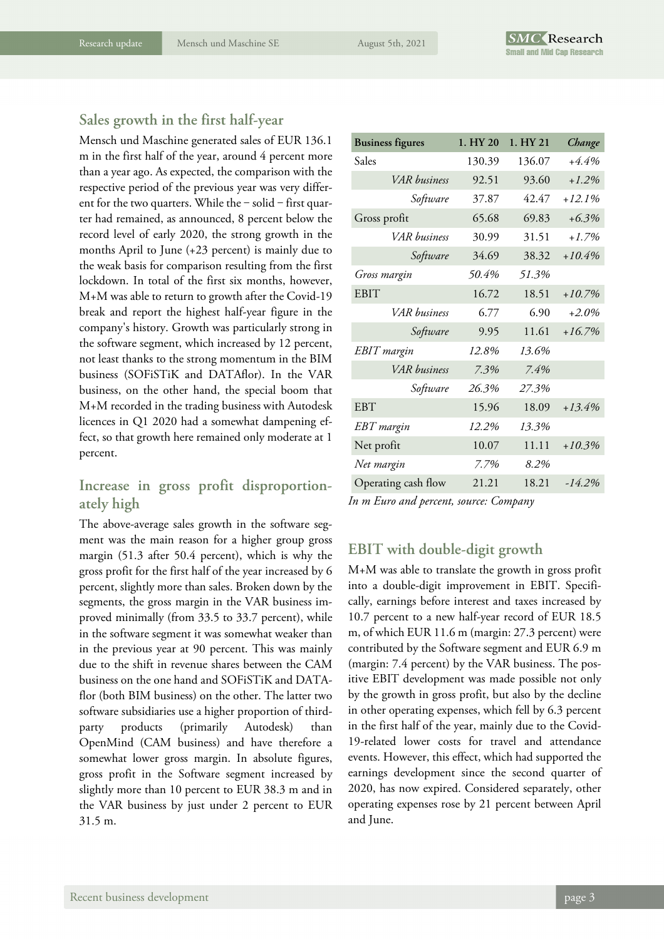### **Sales growth in the first half-year**

Mensch und Maschine generated sales of EUR 136.1 m in the first half of the year, around 4 percent more than a year ago. As expected, the comparison with the respective period of the previous year was very different for the two quarters. While the  $-$  solid  $-$  first quarter had remained, as announced, 8 percent below the record level of early 2020, the strong growth in the months April to June (+23 percent) is mainly due to the weak basis for comparison resulting from the first lockdown. In total of the first six months, however, M+M was able to return to growth after the Covid-19 break and report the highest half-year figure in the company's history. Growth was particularly strong in the software segment, which increased by 12 percent, not least thanks to the strong momentum in the BIM business (SOFiSTiK and DATAflor). In the VAR business, on the other hand, the special boom that M+M recorded in the trading business with Autodesk licences in Q1 2020 had a somewhat dampening effect, so that growth here remained only moderate at 1 percent.

### **Increase in gross profit disproportionately high**

The above-average sales growth in the software segment was the main reason for a higher group gross margin (51.3 after 50.4 percent), which is why the gross profit for the first half of the year increased by 6 percent, slightly more than sales. Broken down by the segments, the gross margin in the VAR business improved minimally (from 33.5 to 33.7 percent), while in the software segment it was somewhat weaker than in the previous year at 90 percent. This was mainly due to the shift in revenue shares between the CAM business on the one hand and SOFiSTiK and DATAflor (both BIM business) on the other. The latter two software subsidiaries use a higher proportion of thirdparty products (primarily Autodesk) than OpenMind (CAM business) and have therefore a somewhat lower gross margin. In absolute figures, gross profit in the Software segment increased by slightly more than 10 percent to EUR 38.3 m and in the VAR business by just under 2 percent to EUR 31.5 m.

| <b>Business figures</b> | 1. HY 20 | 1. HY 21 | Change   |
|-------------------------|----------|----------|----------|
| Sales                   | 130.39   | 136.07   | $+4.4%$  |
| <b>VAR</b> business     | 92.51    | 93.60    | $+1.2%$  |
| Software                | 37.87    | 42.47    | $+12.1%$ |
| Gross profit            | 65.68    | 69.83    | $+6.3%$  |
| VAR business            | 30.99    | 31.51    | $+1.7%$  |
| Software                | 34.69    | 38.32    | $+10.4%$ |
| Gross margin            | 50.4%    | 51.3%    |          |
| <b>EBIT</b>             | 16.72    | 18.51    | $+10.7%$ |
| <b>VAR</b> business     | 6.77     | 6.90     | $+2.0\%$ |
| Software                | 9.95     | 11.61    | $+16.7%$ |
| <b>EBIT</b> margin      | 12.8%    | 13.6%    |          |
| VAR business            | 7.3%     | 7.4%     |          |
| Software                | 26.3%    | 27.3%    |          |
| <b>EBT</b>              | 15.96    | 18.09    | $+13.4%$ |
| EBT margin              | 12.2%    | 13.3%    |          |
| Net profit              | 10.07    | 11.11    | $+10.3%$ |
| Net margin              | 7.7%     | 8.2%     |          |
| Operating cash flow     | 21.21    | 18.21    | $-14.2%$ |

*In m Euro and percent, source: Company* 

### **EBIT with double-digit growth**

M+M was able to translate the growth in gross profit into a double-digit improvement in EBIT. Specifically, earnings before interest and taxes increased by 10.7 percent to a new half-year record of EUR 18.5 m, of which EUR 11.6 m (margin: 27.3 percent) were contributed by the Software segment and EUR 6.9 m (margin: 7.4 percent) by the VAR business. The positive EBIT development was made possible not only by the growth in gross profit, but also by the decline in other operating expenses, which fell by 6.3 percent in the first half of the year, mainly due to the Covid-19-related lower costs for travel and attendance events. However, this effect, which had supported the earnings development since the second quarter of 2020, has now expired. Considered separately, other operating expenses rose by 21 percent between April and June.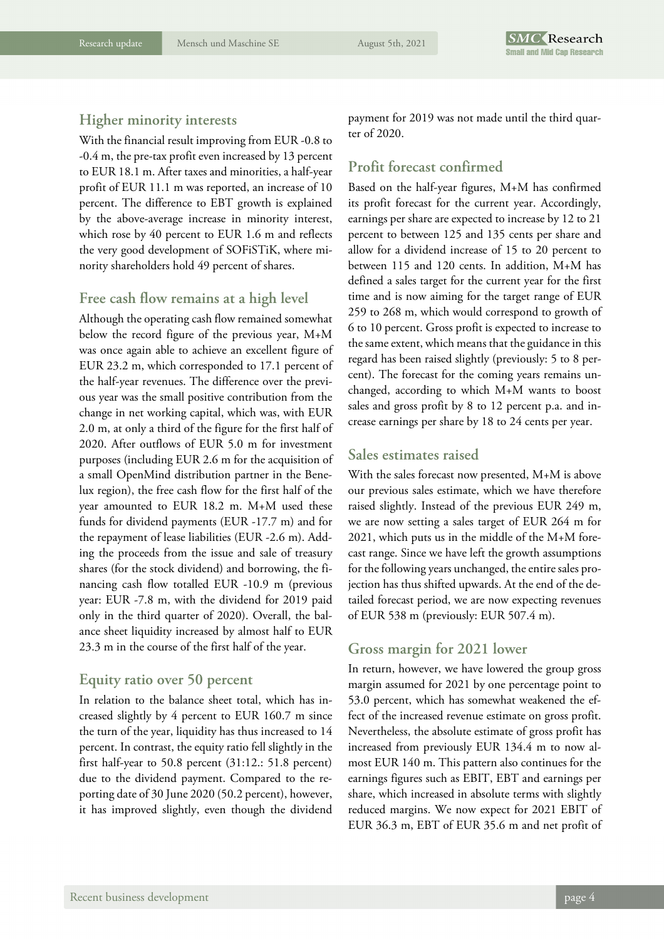### **Higher minority interests**

With the financial result improving from EUR -0.8 to -0.4 m, the pre-tax profit even increased by 13 percent to EUR 18.1 m. After taxes and minorities, a half-year profit of EUR 11.1 m was reported, an increase of 10 percent. The difference to EBT growth is explained by the above-average increase in minority interest, which rose by 40 percent to EUR 1.6 m and reflects the very good development of SOFiSTiK, where minority shareholders hold 49 percent of shares.

### **Free cash flow remains at a high level**

Although the operating cash flow remained somewhat below the record figure of the previous year, M+M was once again able to achieve an excellent figure of EUR 23.2 m, which corresponded to 17.1 percent of the half-year revenues. The difference over the previous year was the small positive contribution from the change in net working capital, which was, with EUR 2.0 m, at only a third of the figure for the first half of 2020. After outflows of EUR 5.0 m for investment purposes (including EUR 2.6 m for the acquisition of a small OpenMind distribution partner in the Benelux region), the free cash flow for the first half of the year amounted to EUR 18.2 m. M+M used these funds for dividend payments (EUR -17.7 m) and for the repayment of lease liabilities (EUR -2.6 m). Adding the proceeds from the issue and sale of treasury shares (for the stock dividend) and borrowing, the financing cash flow totalled EUR -10.9 m (previous year: EUR -7.8 m, with the dividend for 2019 paid only in the third quarter of 2020). Overall, the balance sheet liquidity increased by almost half to EUR 23.3 m in the course of the first half of the year.

### **Equity ratio over 50 percent**

In relation to the balance sheet total, which has increased slightly by 4 percent to EUR 160.7 m since the turn of the year, liquidity has thus increased to 14 percent. In contrast, the equity ratio fell slightly in the first half-year to 50.8 percent (31:12.: 51.8 percent) due to the dividend payment. Compared to the reporting date of 30 June 2020 (50.2 percent), however, it has improved slightly, even though the dividend

payment for 2019 was not made until the third quarter of 2020.

### **Profit forecast confirmed**

Based on the half-year figures, M+M has confirmed its profit forecast for the current year. Accordingly, earnings per share are expected to increase by 12 to 21 percent to between 125 and 135 cents per share and allow for a dividend increase of 15 to 20 percent to between 115 and 120 cents. In addition, M+M has defined a sales target for the current year for the first time and is now aiming for the target range of EUR 259 to 268 m, which would correspond to growth of 6 to 10 percent. Gross profit is expected to increase to the same extent, which means that the guidance in this regard has been raised slightly (previously: 5 to 8 percent). The forecast for the coming years remains unchanged, according to which M+M wants to boost sales and gross profit by 8 to 12 percent p.a. and increase earnings per share by 18 to 24 cents per year.

### **Sales estimates raised**

With the sales forecast now presented, M+M is above our previous sales estimate, which we have therefore raised slightly. Instead of the previous EUR 249 m, we are now setting a sales target of EUR 264 m for 2021, which puts us in the middle of the M+M forecast range. Since we have left the growth assumptions for the following years unchanged, the entire sales projection has thus shifted upwards. At the end of the detailed forecast period, we are now expecting revenues of EUR 538 m (previously: EUR 507.4 m).

### **Gross margin for 2021 lower**

In return, however, we have lowered the group gross margin assumed for 2021 by one percentage point to 53.0 percent, which has somewhat weakened the effect of the increased revenue estimate on gross profit. Nevertheless, the absolute estimate of gross profit has increased from previously EUR 134.4 m to now almost EUR 140 m. This pattern also continues for the earnings figures such as EBIT, EBT and earnings per share, which increased in absolute terms with slightly reduced margins. We now expect for 2021 EBIT of EUR 36.3 m, EBT of EUR 35.6 m and net profit of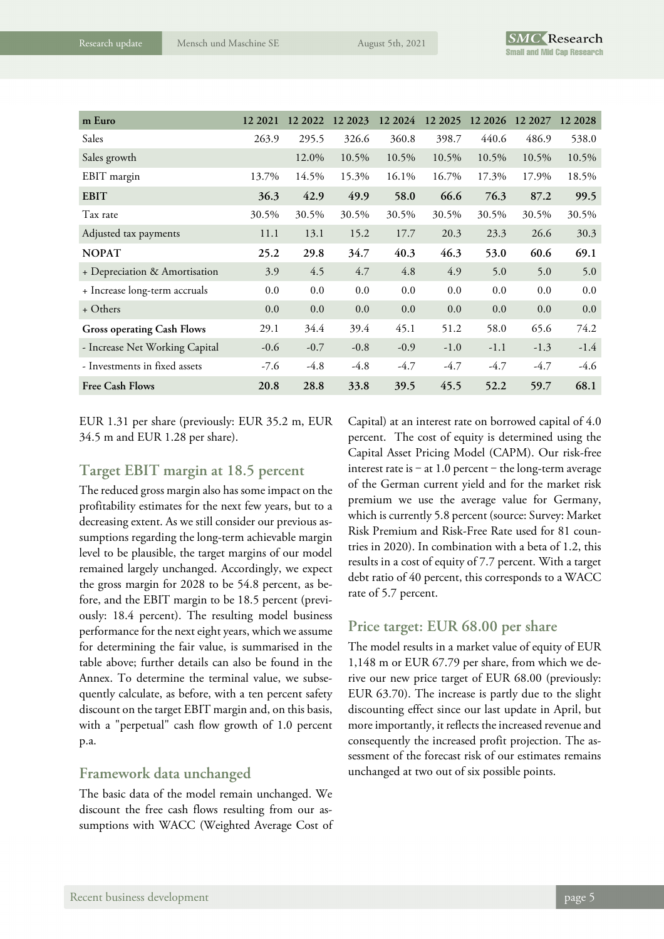| m Euro                            | 12 2021 | 12 2022 | 12 2023 | 12 20 24 | 12 20 25 | 12 2026 | 12 2027 | 12 2028 |
|-----------------------------------|---------|---------|---------|----------|----------|---------|---------|---------|
| Sales                             | 263.9   | 295.5   | 326.6   | 360.8    | 398.7    | 440.6   | 486.9   | 538.0   |
| Sales growth                      |         | 12.0%   | 10.5%   | 10.5%    | 10.5%    | 10.5%   | 10.5%   | 10.5%   |
| EBIT margin                       | 13.7%   | 14.5%   | 15.3%   | 16.1%    | 16.7%    | 17.3%   | 17.9%   | 18.5%   |
| <b>EBIT</b>                       | 36.3    | 42.9    | 49.9    | 58.0     | 66.6     | 76.3    | 87.2    | 99.5    |
| Tax rate                          | 30.5%   | 30.5%   | 30.5%   | 30.5%    | 30.5%    | 30.5%   | 30.5%   | 30.5%   |
| Adjusted tax payments             | 11.1    | 13.1    | 15.2    | 17.7     | 20.3     | 23.3    | 26.6    | 30.3    |
| <b>NOPAT</b>                      | 25.2    | 29.8    | 34.7    | 40.3     | 46.3     | 53.0    | 60.6    | 69.1    |
| + Depreciation & Amortisation     | 3.9     | 4.5     | 4.7     | 4.8      | 4.9      | 5.0     | 5.0     | 5.0     |
| + Increase long-term accruals     | 0.0     | 0.0     | 0.0     | 0.0      | 0.0      | 0.0     | 0.0     | 0.0     |
| + Others                          | 0.0     | 0.0     | 0.0     | 0.0      | 0.0      | 0.0     | 0.0     | 0.0     |
| <b>Gross operating Cash Flows</b> | 29.1    | 34.4    | 39.4    | 45.1     | 51.2     | 58.0    | 65.6    | 74.2    |
| - Increase Net Working Capital    | $-0.6$  | $-0.7$  | $-0.8$  | $-0.9$   | $-1.0$   | $-1.1$  | $-1.3$  | $-1.4$  |
| - Investments in fixed assets     | $-7.6$  | $-4.8$  | $-4.8$  | $-4.7$   | $-4.7$   | $-4.7$  | $-4.7$  | $-4.6$  |
| <b>Free Cash Flows</b>            | 20.8    | 28.8    | 33.8    | 39.5     | 45.5     | 52.2    | 59.7    | 68.1    |

EUR 1.31 per share (previously: EUR 35.2 m, EUR 34.5 m and EUR 1.28 per share).

### **Target EBIT margin at 18.5 percent**

The reduced gross margin also has some impact on the profitability estimates for the next few years, but to a decreasing extent. As we still consider our previous assumptions regarding the long-term achievable margin level to be plausible, the target margins of our model remained largely unchanged. Accordingly, we expect the gross margin for 2028 to be 54.8 percent, as before, and the EBIT margin to be 18.5 percent (previously: 18.4 percent). The resulting model business performance for the next eight years, which we assume for determining the fair value, is summarised in the table above; further details can also be found in the Annex. To determine the terminal value, we subsequently calculate, as before, with a ten percent safety discount on the target EBIT margin and, on this basis, with a "perpetual" cash flow growth of 1.0 percent p.a.

### **Framework data unchanged**

The basic data of the model remain unchanged. We discount the free cash flows resulting from our assumptions with WACC (Weighted Average Cost of Capital) at an interest rate on borrowed capital of 4.0 percent. The cost of equity is determined using the Capital Asset Pricing Model (CAPM). Our risk-free interest rate is  $-$  at 1.0 percent  $-$  the long-term average of the German current yield and for the market risk premium we use the average value for Germany, which is currently 5.8 percent (source: Survey: Market Risk Premium and Risk-Free Rate used for 81 countries in 2020). In combination with a beta of 1.2, this results in a cost of equity of 7.7 percent. With a target debt ratio of 40 percent, this corresponds to a WACC rate of 5.7 percent.

### **Price target: EUR 68.00 per share**

The model results in a market value of equity of EUR 1,148 m or EUR 67.79 per share, from which we derive our new price target of EUR 68.00 (previously: EUR 63.70). The increase is partly due to the slight discounting effect since our last update in April, but more importantly, it reflects the increased revenue and consequently the increased profit projection. The assessment of the forecast risk of our estimates remains unchanged at two out of six possible points.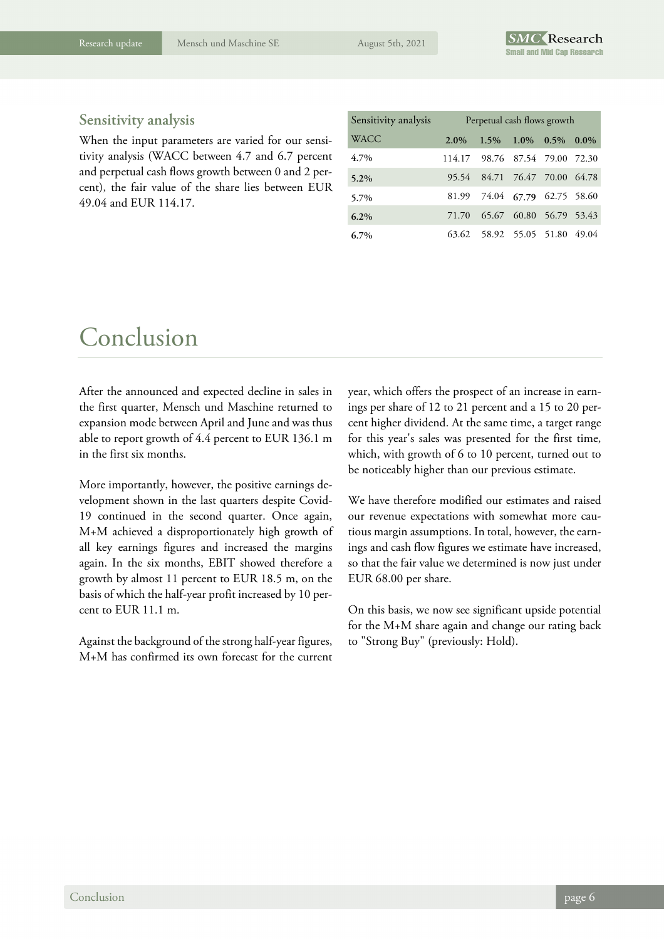### **Sensitivity analysis**

When the input parameters are varied for our sensitivity analysis (WACC between 4.7 and 6.7 percent and perpetual cash flows growth between 0 and 2 percent), the fair value of the share lies between EUR 49.04 and EUR 114.17.

| Sensitivity analysis | Perpetual cash flows growth |                                |                                 |  |  |
|----------------------|-----------------------------|--------------------------------|---------------------------------|--|--|
| <b>WACC</b>          | $2.0\%$                     |                                | $1.5\%$ $1.0\%$ $0.5\%$ $0.0\%$ |  |  |
| 4.7%                 |                             | 114.17 98.76 87.54 79.00 72.30 |                                 |  |  |
| $5.2\%$              |                             | 95.54 84.71 76.47 70.00 64.78  |                                 |  |  |
| 5.7%                 |                             | 81.99 74.04 67.79 62.75 58.60  |                                 |  |  |
| $6.2\%$              |                             | 71.70 65.67 60.80 56.79 53.43  |                                 |  |  |
| $6.7\%$              |                             | 63.62 58.92 55.05 51.80 49.04  |                                 |  |  |

### Conclusion

After the announced and expected decline in sales in the first quarter, Mensch und Maschine returned to expansion mode between April and June and was thus able to report growth of 4.4 percent to EUR 136.1 m in the first six months.

More importantly, however, the positive earnings development shown in the last quarters despite Covid-19 continued in the second quarter. Once again, M+M achieved a disproportionately high growth of all key earnings figures and increased the margins again. In the six months, EBIT showed therefore a growth by almost 11 percent to EUR 18.5 m, on the basis of which the half-year profit increased by 10 percent to EUR 11.1 m.

Against the background of the strong half-year figures, M+M has confirmed its own forecast for the current year, which offers the prospect of an increase in earnings per share of 12 to 21 percent and a 15 to 20 percent higher dividend. At the same time, a target range for this year's sales was presented for the first time, which, with growth of 6 to 10 percent, turned out to be noticeably higher than our previous estimate.

We have therefore modified our estimates and raised our revenue expectations with somewhat more cautious margin assumptions. In total, however, the earnings and cash flow figures we estimate have increased, so that the fair value we determined is now just under EUR 68.00 per share.

On this basis, we now see significant upside potential for the M+M share again and change our rating back to "Strong Buy" (previously: Hold).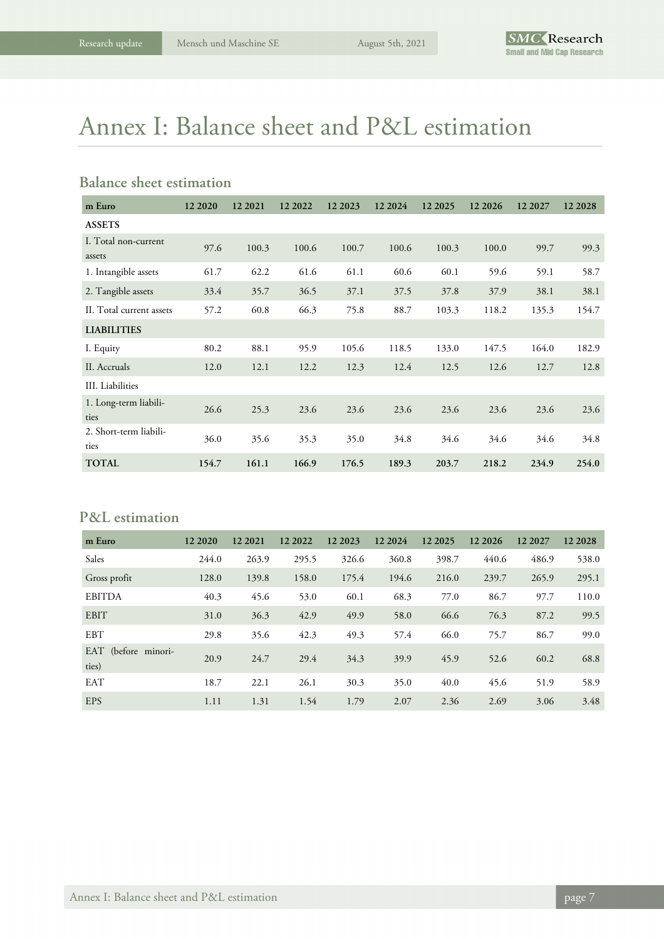# Annex I: Balance sheet and P&L estimation

### **Balance sheet estimation**

| m Euro                         | 12 20 20 | 12 2021 | 12 20 22 | 12 2023 | 12 20 24 | 12 20 25 | 12 20 26 | 12 2027 | 12 2028 |
|--------------------------------|----------|---------|----------|---------|----------|----------|----------|---------|---------|
| <b>ASSETS</b>                  |          |         |          |         |          |          |          |         |         |
| I. Total non-current<br>assets | 97.6     | 100.3   | 100.6    | 100.7   | 100.6    | 100.3    | 100.0    | 99.7    | 99.3    |
| 1. Intangible assets           | 61.7     | 62.2    | 61.6     | 61.1    | 60.6     | 60.1     | 59.6     | 59.1    | 58.7    |
| 2. Tangible assets             | 33.4     | 35.7    | 36.5     | 37.1    | 37.5     | 37.8     | 37.9     | 38.1    | 38.1    |
| II. Total current assets       | 57.2     | 60.8    | 66.3     | 75.8    | 88.7     | 103.3    | 118.2    | 135.3   | 154.7   |
| <b>LIABILITIES</b>             |          |         |          |         |          |          |          |         |         |
| I. Equity                      | 80.2     | 88.1    | 95.9     | 105.6   | 118.5    | 133.0    | 147.5    | 164.0   | 182.9   |
| II. Accruals                   | 12.0     | 12.1    | 12.2     | 12.3    | 12.4     | 12.5     | 12.6     | 12.7    | 12.8    |
| III. Liabilities               |          |         |          |         |          |          |          |         |         |
| 1. Long-term liabili-<br>ties  | 26.6     | 25.3    | 23.6     | 23.6    | 23.6     | 23.6     | 23.6     | 23.6    | 23.6    |
| 2. Short-term liabili-<br>ties | 36.0     | 35.6    | 35.3     | 35.0    | 34.8     | 34.6     | 34.6     | 34.6    | 34.8    |
| <b>TOTAL</b>                   | 154.7    | 161.1   | 166.9    | 176.5   | 189.3    | 203.7    | 218.2    | 234.9   | 254.0   |

### **P&L estimation**

| m Euro                       | 12 20 20 | 12 2021 | 12 2022 | 12 2023 | 12 2024 | 12 20 25 | 12 20 26 | 12 2027 | 12 2028 |
|------------------------------|----------|---------|---------|---------|---------|----------|----------|---------|---------|
| Sales                        | 244.0    | 263.9   | 295.5   | 326.6   | 360.8   | 398.7    | 440.6    | 486.9   | 538.0   |
| Gross profit                 | 128.0    | 139.8   | 158.0   | 175.4   | 194.6   | 216.0    | 239.7    | 265.9   | 295.1   |
| <b>EBITDA</b>                | 40.3     | 45.6    | 53.0    | 60.1    | 68.3    | 77.0     | 86.7     | 97.7    | 110.0   |
| <b>EBIT</b>                  | 31.0     | 36.3    | 42.9    | 49.9    | 58.0    | 66.6     | 76.3     | 87.2    | 99.5    |
| <b>EBT</b>                   | 29.8     | 35.6    | 42.3    | 49.3    | 57.4    | 66.0     | 75.7     | 86.7    | 99.0    |
| EAT (before minori-<br>ties) | 20.9     | 24.7    | 29.4    | 34.3    | 39.9    | 45.9     | 52.6     | 60.2    | 68.8    |
| <b>EAT</b>                   | 18.7     | 22.1    | 26.1    | 30.3    | 35.0    | 40.0     | 45.6     | 51.9    | 58.9    |
| <b>EPS</b>                   | 1.11     | 1.31    | 1.54    | 1.79    | 2.07    | 2.36     | 2.69     | 3.06    | 3.48    |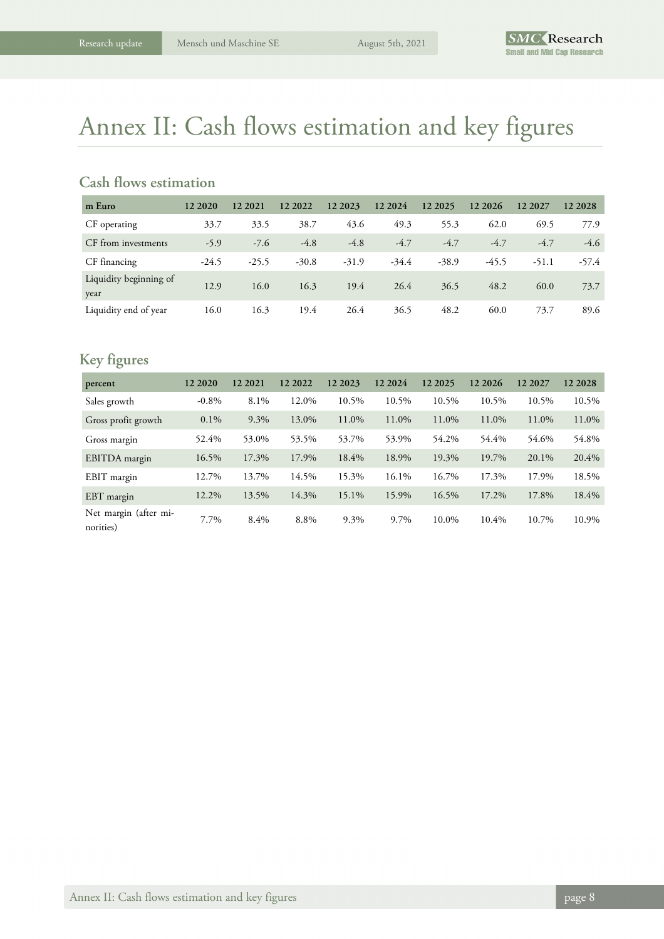## Annex II: Cash flows estimation and key figures

### **Cash flows estimation**

| m Euro                         | 12 20 20 | 12 2021 | 12 2022 | 12 2023 | 12 2024 | 12 20 25 | 12 20 26 | 12 2027 | 12 2028 |
|--------------------------------|----------|---------|---------|---------|---------|----------|----------|---------|---------|
| CF operating                   | 33.7     | 33.5    | 38.7    | 43.6    | 49.3    | 55.3     | 62.0     | 69.5    | 77.9    |
| CF from investments            | $-5.9$   | $-7.6$  | $-4.8$  | $-4.8$  | $-4.7$  | $-4.7$   | $-4.7$   | $-4.7$  | $-4.6$  |
| CF financing                   | $-24.5$  | $-25.5$ | $-30.8$ | $-31.9$ | $-34.4$ | $-38.9$  | $-45.5$  | $-51.1$ | $-57.4$ |
| Liquidity beginning of<br>year | 12.9     | 16.0    | 16.3    | 19.4    | 26.4    | 36.5     | 48.2     | 60.0    | 73.7    |
| Liquidity end of year          | 16.0     | 16.3    | 19.4    | 26.4    | 36.5    | 48.2     | 60.0     | 73.7    | 89.6    |

### **Key figures**

| percent                            | 12 20 20 | 12 20 21 | 12 2022 | 12 20 23 | 12 2024 | 12 20 25 | 12 20 26 | 12 2027 | 12 2028 |
|------------------------------------|----------|----------|---------|----------|---------|----------|----------|---------|---------|
| Sales growth                       | $-0.8\%$ | 8.1%     | 12.0%   | 10.5%    | 10.5%   | 10.5%    | 10.5%    | 10.5%   | 10.5%   |
| Gross profit growth                | $0.1\%$  | 9.3%     | 13.0%   | 11.0%    | 11.0%   | 11.0%    | 11.0%    | 11.0%   | 11.0%   |
| Gross margin                       | 52.4%    | 53.0%    | 53.5%   | 53.7%    | 53.9%   | 54.2%    | 54.4%    | 54.6%   | 54.8%   |
| EBITDA margin                      | 16.5%    | 17.3%    | 17.9%   | 18.4%    | 18.9%   | 19.3%    | 19.7%    | 20.1%   | 20.4%   |
| EBIT margin                        | 12.7%    | 13.7%    | 14.5%   | 15.3%    | 16.1%   | 16.7%    | 17.3%    | 17.9%   | 18.5%   |
| EBT margin                         | 12.2%    | 13.5%    | 14.3%   | 15.1%    | 15.9%   | 16.5%    | 17.2%    | 17.8%   | 18.4%   |
| Net margin (after mi-<br>norities) | 7.7%     | 8.4%     | 8.8%    | 9.3%     | 9.7%    | 10.0%    | 10.4%    | 10.7%   | 10.9%   |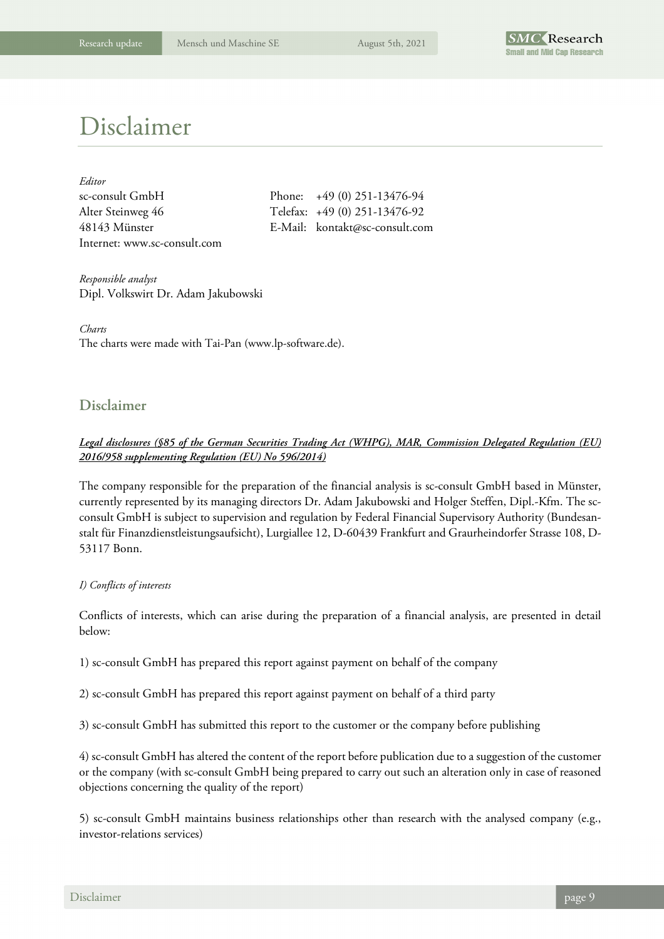

### Disclaimer

| Editor                       |     |
|------------------------------|-----|
| sc-consult GmbH              | Phc |
| Alter Steinweg 46            | Tel |
| 48143 Münster                | E-N |
| Internet: www.sc-consult.com |     |

 $\text{one:} \quad +49 \ (0) \ 251 - 13476 - 94$ efax: +49 (0) 251-13476-92 48143 Münster E-Mail: kontakt@sc-consult.com

*Responsible analyst*  Dipl. Volkswirt Dr. Adam Jakubowski

*Charts*  The charts were made with Tai-Pan (www.lp-software.de).

### **Disclaimer**

### *Legal disclosures (§85 of the German Securities Trading Act (WHPG), MAR, Commission Delegated Regulation (EU) 2016/958 supplementing Regulation (EU) No 596/2014)*

The company responsible for the preparation of the financial analysis is sc-consult GmbH based in Münster, currently represented by its managing directors Dr. Adam Jakubowski and Holger Steffen, Dipl.-Kfm. The scconsult GmbH is subject to supervision and regulation by Federal Financial Supervisory Authority (Bundesanstalt für Finanzdienstleistungsaufsicht), Lurgiallee 12, D-60439 Frankfurt and Graurheindorfer Strasse 108, D-53117 Bonn.

### *I) Conflicts of interests*

Conflicts of interests, which can arise during the preparation of a financial analysis, are presented in detail below:

1) sc-consult GmbH has prepared this report against payment on behalf of the company

2) sc-consult GmbH has prepared this report against payment on behalf of a third party

3) sc-consult GmbH has submitted this report to the customer or the company before publishing

4) sc-consult GmbH has altered the content of the report before publication due to a suggestion of the customer or the company (with sc-consult GmbH being prepared to carry out such an alteration only in case of reasoned objections concerning the quality of the report)

5) sc-consult GmbH maintains business relationships other than research with the analysed company (e.g., investor-relations services)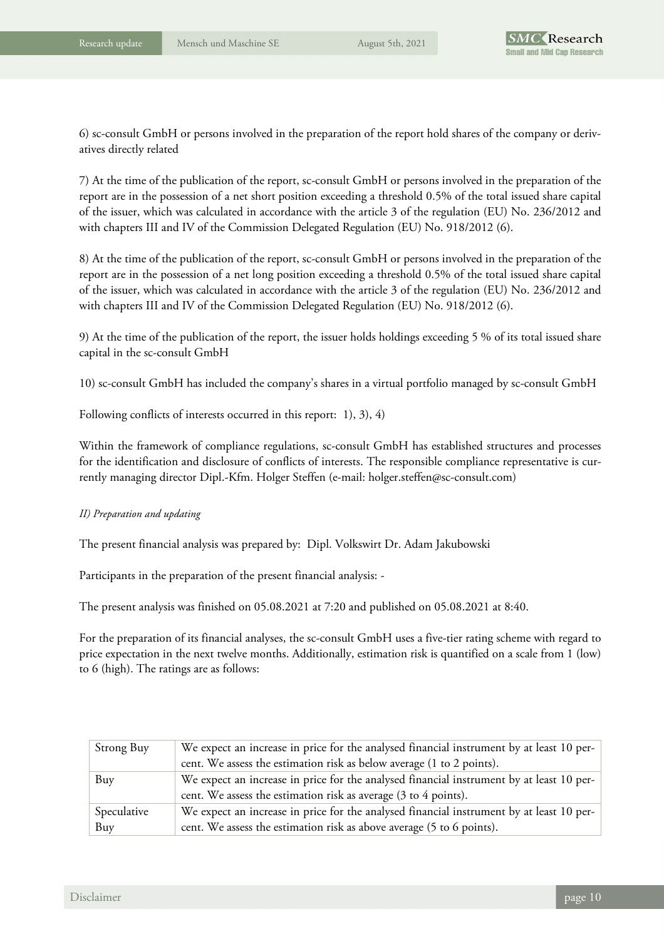6) sc-consult GmbH or persons involved in the preparation of the report hold shares of the company or derivatives directly related

7) At the time of the publication of the report, sc-consult GmbH or persons involved in the preparation of the report are in the possession of a net short position exceeding a threshold 0.5% of the total issued share capital of the issuer, which was calculated in accordance with the article 3 of the regulation (EU) No. 236/2012 and with chapters III and IV of the Commission Delegated Regulation (EU) No. 918/2012 (6).

8) At the time of the publication of the report, sc-consult GmbH or persons involved in the preparation of the report are in the possession of a net long position exceeding a threshold 0.5% of the total issued share capital of the issuer, which was calculated in accordance with the article 3 of the regulation (EU) No. 236/2012 and with chapters III and IV of the Commission Delegated Regulation (EU) No. 918/2012 (6).

9) At the time of the publication of the report, the issuer holds holdings exceeding 5 % of its total issued share capital in the sc-consult GmbH

10) sc-consult GmbH has included the company's shares in a virtual portfolio managed by sc-consult GmbH

Following conflicts of interests occurred in this report: 1), 3), 4)

Within the framework of compliance regulations, sc-consult GmbH has established structures and processes for the identification and disclosure of conflicts of interests. The responsible compliance representative is currently managing director Dipl.-Kfm. Holger Steffen (e-mail: holger.steffen@sc-consult.com)

### *II) Preparation and updating*

The present financial analysis was prepared by: Dipl. Volkswirt Dr. Adam Jakubowski

Participants in the preparation of the present financial analysis: -

The present analysis was finished on 05.08.2021 at 7:20 and published on 05.08.2021 at 8:40.

For the preparation of its financial analyses, the sc-consult GmbH uses a five-tier rating scheme with regard to price expectation in the next twelve months. Additionally, estimation risk is quantified on a scale from 1 (low) to 6 (high). The ratings are as follows:

| Strong Buy  | We expect an increase in price for the analysed financial instrument by at least 10 per- |
|-------------|------------------------------------------------------------------------------------------|
|             | cent. We assess the estimation risk as below average (1 to 2 points).                    |
| Buy         | We expect an increase in price for the analysed financial instrument by at least 10 per- |
|             | cent. We assess the estimation risk as average (3 to 4 points).                          |
| Speculative | We expect an increase in price for the analysed financial instrument by at least 10 per- |
| Buy         | cent. We assess the estimation risk as above average (5 to 6 points).                    |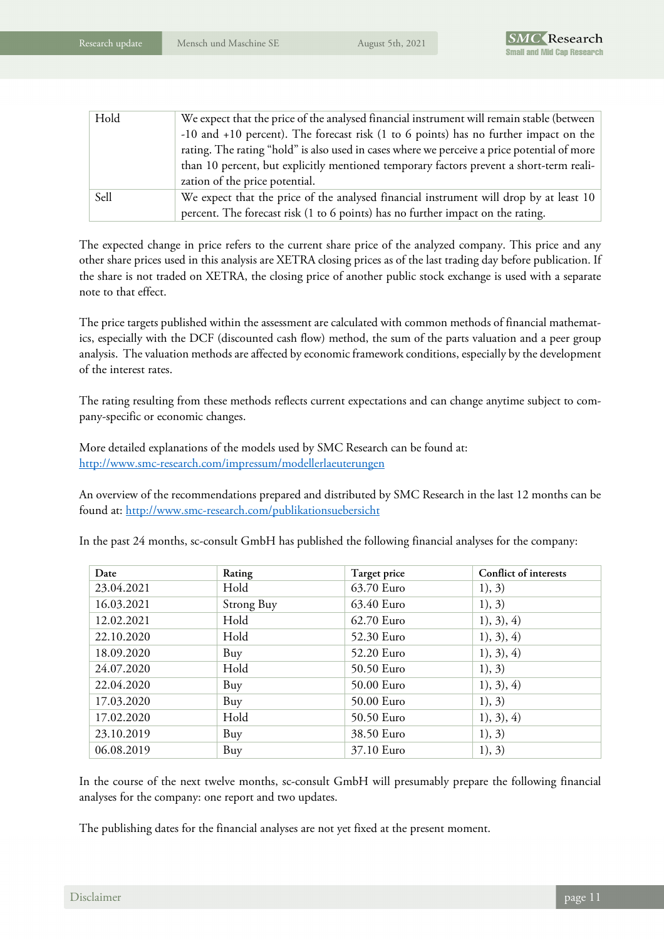| Hold | We expect that the price of the analysed financial instrument will remain stable (between   |
|------|---------------------------------------------------------------------------------------------|
|      | -10 and +10 percent). The forecast risk (1 to 6 points) has no further impact on the        |
|      | rating. The rating "hold" is also used in cases where we perceive a price potential of more |
|      | than 10 percent, but explicitly mentioned temporary factors prevent a short-term reali-     |
|      | zation of the price potential.                                                              |
| Sell | We expect that the price of the analysed financial instrument will drop by at least 10      |
|      | percent. The forecast risk (1 to 6 points) has no further impact on the rating.             |

The expected change in price refers to the current share price of the analyzed company. This price and any other share prices used in this analysis are XETRA closing prices as of the last trading day before publication. If the share is not traded on XETRA, the closing price of another public stock exchange is used with a separate note to that effect.

The price targets published within the assessment are calculated with common methods of financial mathematics, especially with the DCF (discounted cash flow) method, the sum of the parts valuation and a peer group analysis. The valuation methods are affected by economic framework conditions, especially by the development of the interest rates.

The rating resulting from these methods reflects current expectations and can change anytime subject to company-specific or economic changes.

More detailed explanations of the models used by SMC Research can be found at: http://www.smc-research.com/impressum/modellerlaeuterungen

An overview of the recommendations prepared and distributed by SMC Research in the last 12 months can be found at: http://www.smc-research.com/publikationsuebersicht

| Date       | Rating     | Target price | Conflict of interests |
|------------|------------|--------------|-----------------------|
| 23.04.2021 | Hold       | 63.70 Euro   | 1), 3)                |
| 16.03.2021 | Strong Buy | 63.40 Euro   | 1), 3)                |
| 12.02.2021 | Hold       | 62.70 Euro   | 1), 3), 4)            |
| 22.10.2020 | Hold       | 52.30 Euro   | 1), 3), 4)            |
| 18.09.2020 | Buy        | 52.20 Euro   | 1), 3), 4)            |
| 24.07.2020 | Hold       | 50.50 Euro   | 1), 3)                |
| 22.04.2020 | Buy        | 50.00 Euro   | 1), 3), 4)            |
| 17.03.2020 | Buy        | 50.00 Euro   | 1), 3)                |
| 17.02.2020 | Hold       | 50.50 Euro   | 1), 3), 4)            |
| 23.10.2019 | Buy        | 38.50 Euro   | 1), 3)                |
| 06.08.2019 | Buy        | 37.10 Euro   | 1), 3)                |

In the past 24 months, sc-consult GmbH has published the following financial analyses for the company:

In the course of the next twelve months, sc-consult GmbH will presumably prepare the following financial analyses for the company: one report and two updates.

The publishing dates for the financial analyses are not yet fixed at the present moment.